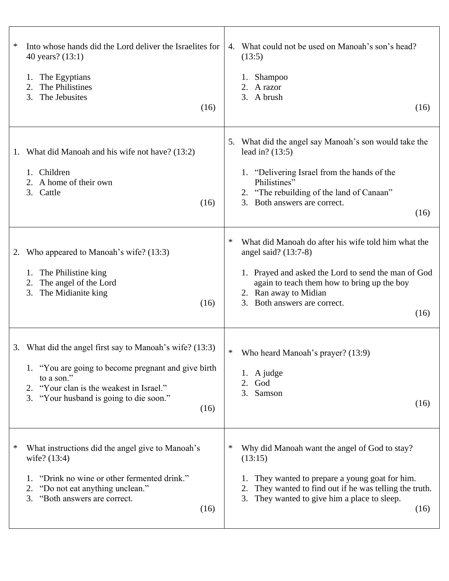| $\ast$<br>Into whose hands did the Lord deliver the Israelites for<br>40 years? (13:1)<br>The Egyptians<br>1.<br>The Philistines<br>2.<br>The Jebusites<br>3.<br>(16)                                                        | What could not be used on Manoah's son's head?<br>4.<br>(13:5)<br>Shampoo<br>$\mathbf{I}$ .<br>2. A razor<br>3. A brush<br>(16)                                                                                                                            |
|------------------------------------------------------------------------------------------------------------------------------------------------------------------------------------------------------------------------------|------------------------------------------------------------------------------------------------------------------------------------------------------------------------------------------------------------------------------------------------------------|
| What did Manoah and his wife not have? (13:2)<br>1.<br>Children<br>1.<br>2. A home of their own<br>3. Cattle<br>(16)                                                                                                         | What did the angel say Manoah's son would take the<br>5.<br>lead in? $(13:5)$<br>1. "Delivering Israel from the hands of the<br>Philistines"<br>2. "The rebuilding of the land of Canaan"<br>Both answers are correct.<br>3.<br>(16)                       |
| Who appeared to Manoah's wife? (13:3)<br>2.<br>The Philistine king<br>1.<br>The angel of the Lord<br>2.<br>The Midianite king<br>3.<br>(16)                                                                                  | ∗<br>What did Manoah do after his wife told him what the<br>angel said? (13:7-8)<br>1. Prayed and asked the Lord to send the man of God<br>again to teach them how to bring up the boy<br>2. Ran away to Midian<br>3.<br>Both answers are correct.<br>(16) |
| 3. What did the angel first say to Manoah's wife? (13:3)<br>1. "You are going to become pregnant and give birth<br>to a son."<br>2. "Your clan is the weakest in Israel."<br>3. "Your husband is going to die soon."<br>(16) | $\ast$<br>Who heard Manoah's prayer? (13:9)<br>1. A judge<br>God<br>2.<br>Samson<br>3.<br>(16)                                                                                                                                                             |
| ∗<br>What instructions did the angel give to Manoah's<br>wife? (13:4)<br>"Drink no wine or other fermented drink."<br>1.<br>"Do not eat anything unclean."<br>2.<br>"Both answers are correct.<br>3.<br>(16)                 | ∗<br>Why did Manoah want the angel of God to stay?<br>(13:15)<br>They wanted to prepare a young goat for him.<br>1.<br>They wanted to find out if he was telling the truth.<br>3. They wanted to give him a place to sleep.<br>(16)                        |

T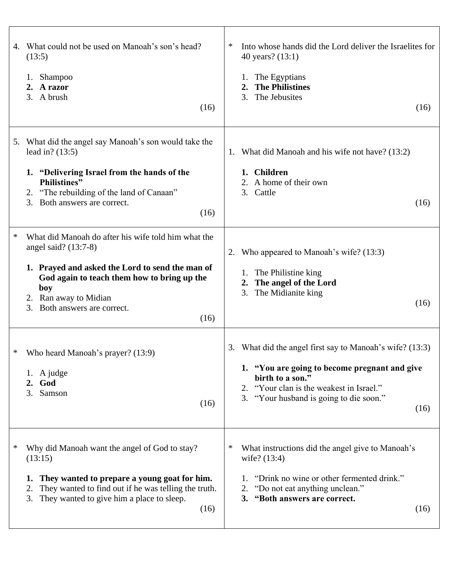| 4. | What could not be used on Manoah's son's head?<br>(13:5)<br>Shampoo<br>A razor<br>2.<br>3. A brush<br>(16)                                                                                                                                                 | ∗<br>Into whose hands did the Lord deliver the Israelites for<br>40 years? (13:1)<br>The Egyptians<br><b>The Philistines</b><br>The Jebusites<br>3.<br>(16)                                                                     |
|----|------------------------------------------------------------------------------------------------------------------------------------------------------------------------------------------------------------------------------------------------------------|---------------------------------------------------------------------------------------------------------------------------------------------------------------------------------------------------------------------------------|
|    | 5. What did the angel say Manoah's son would take the<br>lead in? $(13:5)$<br>1. "Delivering Israel from the hands of the<br><b>Philistines</b> "<br>2. "The rebuilding of the land of Canaan"<br>3. Both answers are correct.<br>(16)                     | What did Manoah and his wife not have? (13:2)<br>1.<br>1. Children<br>A home of their own<br>2.<br>Cattle<br>3.<br>(16)                                                                                                         |
| ∗  | What did Manoah do after his wife told him what the<br>angel said? $(13:7-8)$<br>1. Prayed and asked the Lord to send the man of<br>God again to teach them how to bring up the<br>boy<br>2. Ran away to Midian<br>Both answers are correct.<br>3.<br>(16) | Who appeared to Manoah's wife? (13:3)<br>2.<br>The Philistine king<br>1.<br>The angel of the Lord<br>$2_{\bullet}$<br>3.<br>The Midianite king<br>(16)                                                                          |
| ∗  | Who heard Manoah's prayer? (13:9)<br>1. A judge<br>2. God<br>3. Samson<br>(16)                                                                                                                                                                             | What did the angel first say to Manoah's wife? (13:3)<br>3.<br>1. "You are going to become pregnant and give<br>birth to a son."<br>2. "Your clan is the weakest in Israel."<br>3. "Your husband is going to die soon."<br>(16) |
|    | Why did Manoah want the angel of God to stay?<br>(13:15)<br>They wanted to prepare a young goat for him.<br>1.<br>They wanted to find out if he was telling the truth.<br>2.<br>They wanted to give him a place to sleep.<br>3.<br>(16)                    | ∗<br>What instructions did the angel give to Manoah's<br>wife? (13:4)<br>"Drink no wine or other fermented drink."<br>1.<br>"Do not eat anything unclean."<br>2.<br>3. "Both answers are correct.<br>(16)                       |

 $\overline{1}$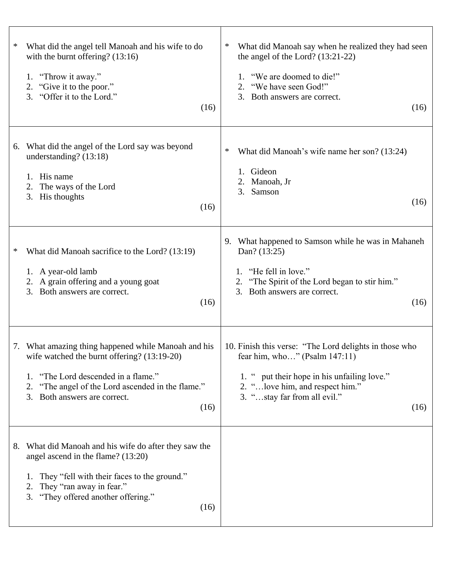| What did the angel tell Manoah and his wife to do<br>∗<br>with the burnt offering? $(13:16)$<br>"Throw it away."<br>1.<br>"Give it to the poor."<br>2.<br>"Offer it to the Lord."<br>3.<br>(16)                                                 | What did Manoah say when he realized they had seen<br>$\ast$<br>the angel of the Lord? $(13:21-22)$<br>"We are doomed to die!"<br>"We have seen God!"<br>3. Both answers are correct.<br>(16)                         |
|-------------------------------------------------------------------------------------------------------------------------------------------------------------------------------------------------------------------------------------------------|-----------------------------------------------------------------------------------------------------------------------------------------------------------------------------------------------------------------------|
| What did the angel of the Lord say was beyond<br>6.<br>understanding? (13:18)<br>His name<br>The ways of the Lord<br>2.<br>3.<br>His thoughts<br>(16)                                                                                           | What did Manoah's wife name her son? (13:24)<br>∗<br>Gideon<br>Manoah, Jr<br>2.<br>3.<br>Samson<br>(16)                                                                                                               |
| What did Manoah sacrifice to the Lord? (13:19)<br>∗<br>1. A year-old lamb<br>2. A grain offering and a young goat<br>Both answers are correct.<br>3.<br>(16)                                                                                    | 9. What happened to Samson while he was in Mahaneh<br>Dan? (13:25)<br>"He fell in love."<br>1.<br>"The Spirit of the Lord began to stir him."<br>Both answers are correct.<br>3.<br>(16)                              |
| 7. What amazing thing happened while Manoah and his<br>wife watched the burnt offering? (13:19-20)<br>"The Lord descended in a flame."<br>1.<br>"The angel of the Lord ascended in the flame."<br>2.<br>Both answers are correct.<br>3.<br>(16) | 10. Finish this verse: "The Lord delights in those who<br>fear him, who" (Psalm $147:11$ )<br>1. " put their hope in his unfailing love."<br>2. " love him, and respect him."<br>3. "stay far from all evil."<br>(16) |
| 8. What did Manoah and his wife do after they saw the<br>angel ascend in the flame? (13:20)<br>They "fell with their faces to the ground."<br>They "ran away in fear."<br>2.<br>"They offered another offering."<br>3.<br>(16)                  |                                                                                                                                                                                                                       |